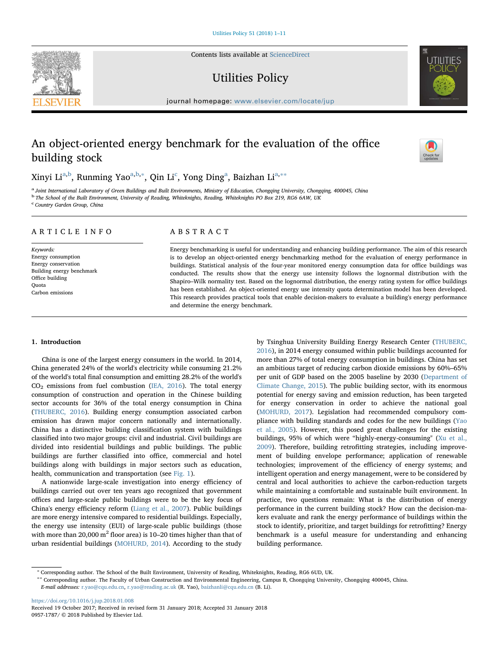Contents lists available at [ScienceDirect](http://www.sciencedirect.com/science/journal/09571787)

Utilities Policy

journal homepage: [www.elsevier.com/locate/jup](https://www.elsevier.com/locate/jup)

# An object-oriented energy benchmark for the evaluation of the office building stock

Xinyi Li<sup>[a,](#page-0-0)[b](#page-0-1)</sup>, Runming Yao<sup>a,b,</sup>\*, Qin Li<sup>[c](#page-0-3)</sup>, Yong Ding<sup>[a](#page-0-0)</sup>, Baizhan Li<sup>a,</sup>\*\*

<span id="page-0-1"></span><span id="page-0-0"></span>a Joint International Laboratory of Green Buildings and Built Environments, Ministry of Education, Chongqing University, Chongqing, 400045, China b The School of the Built Environment, University of Reading, Whiteknights, Reading, Whiteknights PO Box 219, RG6 6AW, UK

<span id="page-0-3"></span><sup>c</sup> Country Garden Group, China

## ARTICLE INFO

Keywords: Energy consumption Energy conservation Building energy benchmark Office building **Ouota** Carbon emissions

### ABSTRACT

Energy benchmarking is useful for understanding and enhancing building performance. The aim of this research is to develop an object-oriented energy benchmarking method for the evaluation of energy performance in buildings. Statistical analysis of the four-year monitored energy consumption data for office buildings was conducted. The results show that the energy use intensity follows the lognormal distribution with the Shapiro–Wilk normality test. Based on the lognormal distribution, the energy rating system for office buildings has been established. An object-oriented energy use intensity quota determination model has been developed. This research provides practical tools that enable decision-makers to evaluate a building's energy performance and determine the energy benchmark.

#### 1. Introduction

China is one of the largest energy consumers in the world. In 2014, China generated 24% of the world's electricity while consuming 21.2% of the world's total final consumption and emitting 28.2% of the world's  $CO<sub>2</sub>$  emissions from fuel combustion ([IEA, 2016\)](#page--1-0). The total energy consumption of construction and operation in the Chinese building sector accounts for 36% of the total energy consumption in China ([THUBERC, 2016](#page--1-1)). Building energy consumption associated carbon emission has drawn major concern nationally and internationally. China has a distinctive building classification system with buildings classified into two major groups: civil and industrial. Civil buildings are divided into residential buildings and public buildings. The public buildings are further classified into office, commercial and hotel buildings along with buildings in major sectors such as education, health, communication and transportation (see [Fig. 1\)](#page-1-0).

A nationwide large-scale investigation into energy efficiency of buildings carried out over ten years ago recognized that government offices and large-scale public buildings were to be the key focus of China's energy efficiency reform [\(Liang et al., 2007\)](#page--1-2). Public buildings are more energy intensive compared to residential buildings. Especially, the energy use intensity (EUI) of large-scale public buildings (those with more than  $20,000 \text{ m}^2$  floor area) is 10–20 times higher than that of urban residential buildings ([MOHURD, 2014](#page--1-3)). According to the study

by Tsinghua University Building Energy Research Center [\(THUBERC,](#page--1-1) [2016\)](#page--1-1), in 2014 energy consumed within public buildings accounted for more than 27% of total energy consumption in buildings. China has set an ambitious target of reducing carbon dioxide emissions by 60%–65% per unit of GDP based on the 2005 baseline by 2030 ([Department of](#page--1-4) [Climate Change, 2015\)](#page--1-4). The public building sector, with its enormous potential for energy saving and emission reduction, has been targeted for energy conservation in order to achieve the national goal ([MOHURD, 2017\)](#page--1-5). Legislation had recommended compulsory compliance with building standards and codes for the new buildings [\(Yao](#page--1-6) [et al., 2005](#page--1-6)). However, this posed great challenges for the existing buildings, 95% of which were "highly-energy-consuming" [\(Xu et al.,](#page--1-7) [2009\)](#page--1-7). Therefore, building retrofitting strategies, including improvement of building envelope performance; application of renewable technologies; improvement of the efficiency of energy systems; and intelligent operation and energy management, were to be considered by central and local authorities to achieve the carbon-reduction targets while maintaining a comfortable and sustainable built environment. In practice, two questions remain: What is the distribution of energy performance in the current building stock? How can the decision-makers evaluate and rank the energy performance of buildings within the stock to identify, prioritize, and target buildings for retrofitting? Energy benchmark is a useful measure for understanding and enhancing building performance.

<span id="page-0-4"></span><span id="page-0-2"></span><sup>∗</sup> Corresponding author. The School of the Built Environment, University of Reading, Whiteknights, Reading, RG6 6UD, UK.

∗∗ Corresponding author. The Faculty of Urban Construction and Environmental Engineering, Campus B, Chongqing University, Chongqing 400045, China.

E-mail addresses: [r.yao@cqu.edu.cn](mailto:r.yao@cqu.edu.cn), [r.yao@reading.ac.uk](mailto:r.yao@reading.ac.uk) (R. Yao), [baizhanli@cqu.edu.cn](mailto:baizhanli@cqu.edu.cn) (B. Li).

<https://doi.org/10.1016/j.jup.2018.01.008>

Received 19 October 2017; Received in revised form 31 January 2018; Accepted 31 January 2018 0957-1787/ © 2018 Published by Elsevier Ltd.





[T](http://crossmark.crossref.org/dialog/?doi=10.1016/j.jup.2018.01.008&domain=pdf)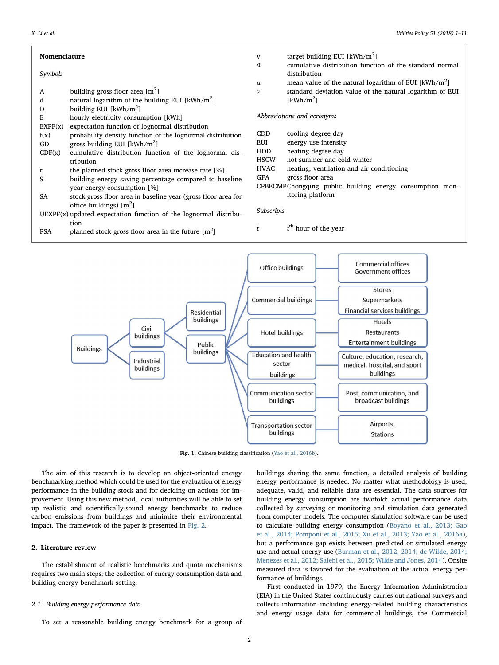| Nomenclature                                                       |                                                               | $\mathbf{V}$<br>Φ          | target building EUI [ $kWh/m2$ ]<br>cumulative distribution function of the standard normal |
|--------------------------------------------------------------------|---------------------------------------------------------------|----------------------------|---------------------------------------------------------------------------------------------|
| Symbols                                                            |                                                               |                            | distribution                                                                                |
|                                                                    |                                                               | μ                          | mean value of the natural logarithm of EUI [kWh/m <sup>2</sup> ]                            |
| A                                                                  | building gross floor area $[m^2]$                             | σ                          | standard deviation value of the natural logarithm of EUI                                    |
| d                                                                  | natural logarithm of the building EUI [ $kWh/m2$ ]            |                            | [kWh/m <sup>2</sup> ]                                                                       |
| D                                                                  | building EUI $[kWh/m^2]$                                      |                            |                                                                                             |
| Ε                                                                  | hourly electricity consumption [kWh]                          | Abbreviations and acronyms |                                                                                             |
| EXPF(x)                                                            | expectation function of lognormal distribution                |                            |                                                                                             |
| f(x)                                                               | probability density function of the lognormal distribution    | CDD.                       | cooling degree day                                                                          |
| GD                                                                 | gross building EUI [ $kWh/m2$ ]                               | EUI                        | energy use intensity                                                                        |
| CDF(x)                                                             | cumulative distribution function of the lognormal dis-        | <b>HDD</b>                 | heating degree day                                                                          |
|                                                                    | tribution                                                     | <b>HSCW</b>                | hot summer and cold winter                                                                  |
| r                                                                  | the planned stock gross floor area increase rate [%]          | <b>HVAC</b>                | heating, ventilation and air conditioning                                                   |
| S                                                                  | building energy saving percentage compared to baseline        | GFA                        | gross floor area                                                                            |
|                                                                    | year energy consumption [%]                                   |                            | CPBECMPChongqing public building energy consumption mon-                                    |
| SA                                                                 | stock gross floor area in baseline year (gross floor area for |                            | itoring platform                                                                            |
|                                                                    | office buildings) $[m^2]$                                     |                            |                                                                                             |
| $UEXPF(x)$ updated expectation function of the lognormal distribu- |                                                               | Subscripts                 |                                                                                             |
|                                                                    | tion                                                          |                            |                                                                                             |
| <b>PSA</b>                                                         | planned stock gross floor area in the future $[m^2]$          | t                          | $tth$ hour of the year                                                                      |

<span id="page-1-0"></span>

Fig. 1. Chinese building classification [\(Yao et al., 2016b](#page--1-10)).

The aim of this research is to develop an object-oriented energy benchmarking method which could be used for the evaluation of energy performance in the building stock and for deciding on actions for improvement. Using this new method, local authorities will be able to set up realistic and scientifically-sound energy benchmarks to reduce carbon emissions from buildings and minimize their environmental impact. The framework of the paper is presented in [Fig. 2.](#page--1-8)

#### 2. Literature review

The establishment of realistic benchmarks and quota mechanisms requires two main steps: the collection of energy consumption data and building energy benchmark setting.

#### 2.1. Building energy performance data

To set a reasonable building energy benchmark for a group of

buildings sharing the same function, a detailed analysis of building energy performance is needed. No matter what methodology is used, adequate, valid, and reliable data are essential. The data sources for building energy consumption are twofold: actual performance data collected by surveying or monitoring and simulation data generated from computer models. The computer simulation software can be used to calculate building energy consumption [\(Boyano et al., 2013; Gao](#page--1-6) [et al., 2014; Pomponi et al., 2015; Xu et al., 2013; Yao et al., 2016a](#page--1-6)), but a performance gap exists between predicted or simulated energy use and actual energy use [\(Burman et al., 2012, 2014; de Wilde, 2014;](#page--1-9) [Menezes et al., 2012; Salehi et al., 2015; Wilde and Jones, 2014\)](#page--1-9). Onsite measured data is favored for the evaluation of the actual energy performance of buildings.

First conducted in 1979, the Energy Information Administration (EIA) in the United States continuously carries out national surveys and collects information including energy-related building characteristics and energy usage data for commercial buildings, the Commercial